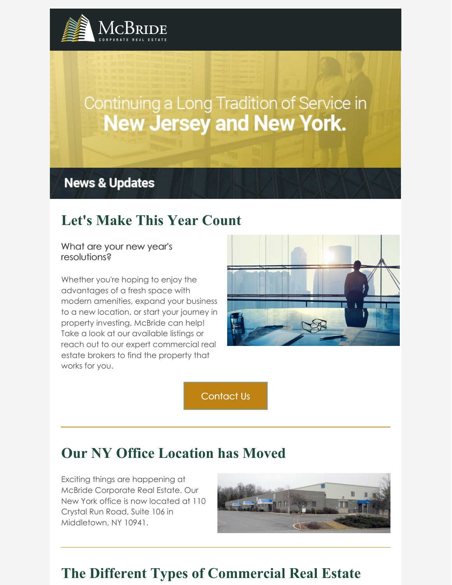

# Continuing a Long Tradition of Service in **New Jersey and New York.**

**News & Updates** 

# **Let's Make This Year Count**

#### What are your new year's resolutions?

Whether you're hoping to enjoy the advantages of a fresh space with modern amenities, expand your business to a new location, or start your journey in property investing, McBride can help! Take a look at our available listings or reach out to our expert commercial real estate brokers to find the property that works for you.



[Contact](https://www.mcbridecorpre.com/contact-mcbride-corporate-real-estate/) Us

# **Our NY Office Location has Moved**

Exciting things are happening at McBride Corporate Real Estate. Our New York office is now located at 110 Crystal Run Road, Suite 106 in Middletown, NY 10941.



# **The Different Types of Commercial Real Estate**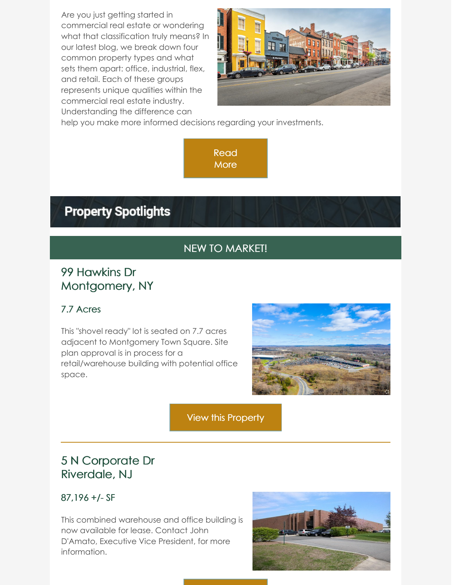Are you just getting started in commercial real estate or wondering what that classification truly means? In our latest blog, we break down four common property types and what sets them apart: office, industrial, flex, and retail. Each of these groups represents unique qualities within the commercial real estate industry. Understanding the difference can



help you make more informed decisions regarding your investments.

[Read](https://www.mcbridecorpre.com/the-different-types-of-commercial-real-estate/) **More** 

# **Property Spotlights**

### NEW TO MARKET!

### 99 Hawkins Dr Montgomery, NY

#### 7.7 Acres

This "shovel ready" lot is seated on 7.7 acres adjacent to Montgomery Town Square. Site plan approval is in process for a retail/warehouse building with potential office space.



View this [Property](https://looplink.mcbridecorpre.com/Listing/99-Hawkins-Dr-Montgomery-NY/24829566/)

### 5 N Corporate Dr Riverdale, NJ

#### 87,196 +/- SF

This combined warehouse and office building is now available for lease. Contact John D'Amato, Executive Vice President, for more information.